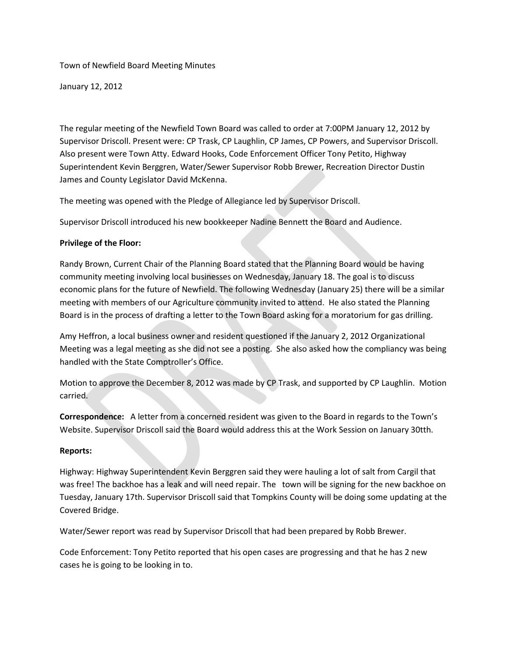Town of Newfield Board Meeting Minutes

January 12, 2012

The regular meeting of the Newfield Town Board was called to order at 7:00PM January 12, 2012 by Supervisor Driscoll. Present were: CP Trask, CP Laughlin, CP James, CP Powers, and Supervisor Driscoll. Also present were Town Atty. Edward Hooks, Code Enforcement Officer Tony Petito, Highway Superintendent Kevin Berggren, Water/Sewer Supervisor Robb Brewer, Recreation Director Dustin James and County Legislator David McKenna.

The meeting was opened with the Pledge of Allegiance led by Supervisor Driscoll.

Supervisor Driscoll introduced his new bookkeeper Nadine Bennett the Board and Audience.

# **Privilege of the Floor:**

Randy Brown, Current Chair of the Planning Board stated that the Planning Board would be having community meeting involving local businesses on Wednesday, January 18. The goal is to discuss economic plans for the future of Newfield. The following Wednesday (January 25) there will be a similar meeting with members of our Agriculture community invited to attend. He also stated the Planning Board is in the process of drafting a letter to the Town Board asking for a moratorium for gas drilling.

Amy Heffron, a local business owner and resident questioned if the January 2, 2012 Organizational Meeting was a legal meeting as she did not see a posting. She also asked how the compliancy was being handled with the State Comptroller's Office.

Motion to approve the December 8, 2012 was made by CP Trask, and supported by CP Laughlin. Motion carried.

**Correspondence:** A letter from a concerned resident was given to the Board in regards to the Town's Website. Supervisor Driscoll said the Board would address this at the Work Session on January 30tth.

# **Reports:**

Highway: Highway Superintendent Kevin Berggren said they were hauling a lot of salt from Cargil that was free! The backhoe has a leak and will need repair. The town will be signing for the new backhoe on Tuesday, January 17th. Supervisor Driscoll said that Tompkins County will be doing some updating at the Covered Bridge.

Water/Sewer report was read by Supervisor Driscoll that had been prepared by Robb Brewer.

Code Enforcement: Tony Petito reported that his open cases are progressing and that he has 2 new cases he is going to be looking in to.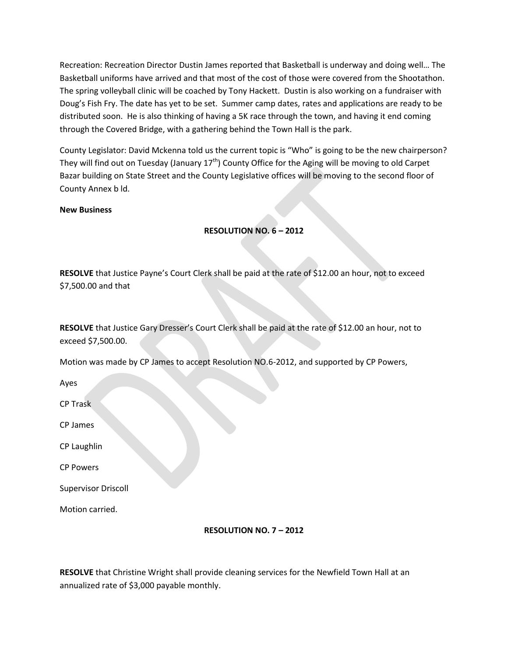Recreation: Recreation Director Dustin James reported that Basketball is underway and doing well… The Basketball uniforms have arrived and that most of the cost of those were covered from the Shootathon. The spring volleyball clinic will be coached by Tony Hackett. Dustin is also working on a fundraiser with Doug's Fish Fry. The date has yet to be set. Summer camp dates, rates and applications are ready to be distributed soon. He is also thinking of having a 5K race through the town, and having it end coming through the Covered Bridge, with a gathering behind the Town Hall is the park.

County Legislator: David Mckenna told us the current topic is "Who" is going to be the new chairperson? They will find out on Tuesday (January  $17<sup>th</sup>$ ) County Office for the Aging will be moving to old Carpet Bazar building on State Street and the County Legislative offices will be moving to the second floor of County Annex b ld.

#### **New Business**

### **RESOLUTION NO. 6 – 2012**

**RESOLVE** that Justice Payne's Court Clerk shall be paid at the rate of \$12.00 an hour, not to exceed \$7,500.00 and that

**RESOLVE** that Justice Gary Dresser's Court Clerk shall be paid at the rate of \$12.00 an hour, not to exceed \$7,500.00.

Motion was made by CP James to accept Resolution NO.6-2012, and supported by CP Powers,

Ayes

CP Trask

CP James

CP Laughlin

CP Powers

Supervisor Driscoll

Motion carried.

### **RESOLUTION NO. 7 – 2012**

**RESOLVE** that Christine Wright shall provide cleaning services for the Newfield Town Hall at an annualized rate of \$3,000 payable monthly.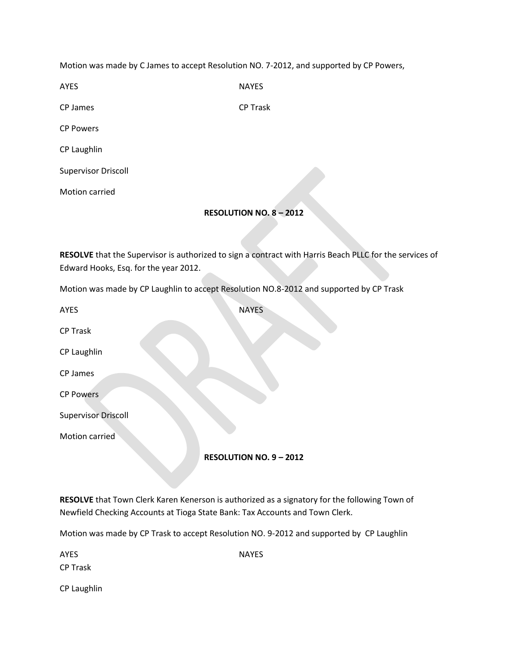Motion was made by C James to accept Resolution NO. 7-2012, and supported by CP Powers,

| <b>AYES</b>      | <b>NAYES</b>    |
|------------------|-----------------|
| CP James         | <b>CP Trask</b> |
| <b>CP Powers</b> |                 |

CP Laughlin

Supervisor Driscoll

Motion carried

### **RESOLUTION NO. 8 – 2012**

**RESOLVE** that the Supervisor is authorized to sign a contract with Harris Beach PLLC for the services of Edward Hooks, Esq. for the year 2012.

Motion was made by CP Laughlin to accept Resolution NO.8-2012 and supported by CP Trask

| AYES                       | <b>NAYES</b>                 |
|----------------------------|------------------------------|
| <b>CP Trask</b>            |                              |
| CP Laughlin                |                              |
| CP James                   |                              |
| <b>CP Powers</b>           |                              |
| <b>Supervisor Driscoll</b> |                              |
| Motion carried             |                              |
|                            | <b>RESOLUTION NO. 9-2012</b> |

**RESOLVE** that Town Clerk Karen Kenerson is authorized as a signatory for the following Town of Newfield Checking Accounts at Tioga State Bank: Tax Accounts and Town Clerk.

Motion was made by CP Trask to accept Resolution NO. 9-2012 and supported by CP Laughlin

| <b>AYES</b>     | <b>NAYES</b> |  |
|-----------------|--------------|--|
| <b>CP Trask</b> |              |  |
| CP Laughlin     |              |  |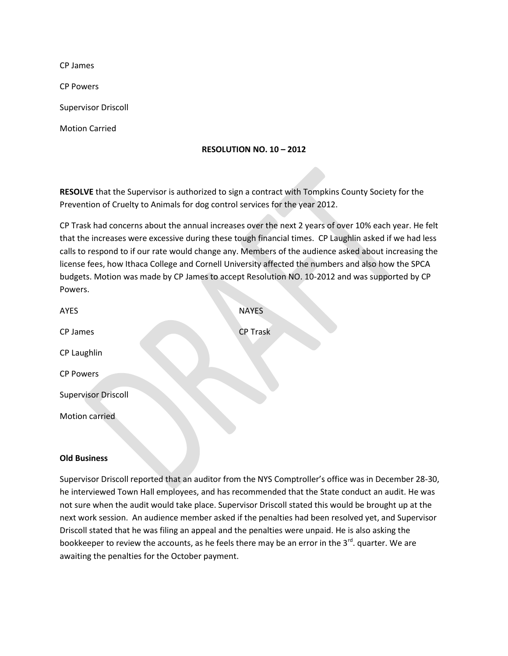CP James

CP Powers

Supervisor Driscoll

Motion Carried

### **RESOLUTION NO. 10 – 2012**

**RESOLVE** that the Supervisor is authorized to sign a contract with Tompkins County Society for the Prevention of Cruelty to Animals for dog control services for the year 2012.

CP Trask had concerns about the annual increases over the next 2 years of over 10% each year. He felt that the increases were excessive during these tough financial times. CP Laughlin asked if we had less calls to respond to if our rate would change any. Members of the audience asked about increasing the license fees, how Ithaca College and Cornell University affected the numbers and also how the SPCA budgets. Motion was made by CP James to accept Resolution NO. 10-2012 and was supported by CP Powers.

| <b>AYES</b>                | <b>NAYES</b>    |
|----------------------------|-----------------|
| CP James                   | <b>CP Trask</b> |
| CP Laughlin                |                 |
| <b>CP Powers</b>           |                 |
| <b>Supervisor Driscoll</b> |                 |
| Motion carried             |                 |

#### **Old Business**

Supervisor Driscoll reported that an auditor from the NYS Comptroller's office was in December 28-30, he interviewed Town Hall employees, and has recommended that the State conduct an audit. He was not sure when the audit would take place. Supervisor Driscoll stated this would be brought up at the next work session. An audience member asked if the penalties had been resolved yet, and Supervisor Driscoll stated that he was filing an appeal and the penalties were unpaid. He is also asking the bookkeeper to review the accounts, as he feels there may be an error in the  $3^{rd}$ . quarter. We are awaiting the penalties for the October payment.